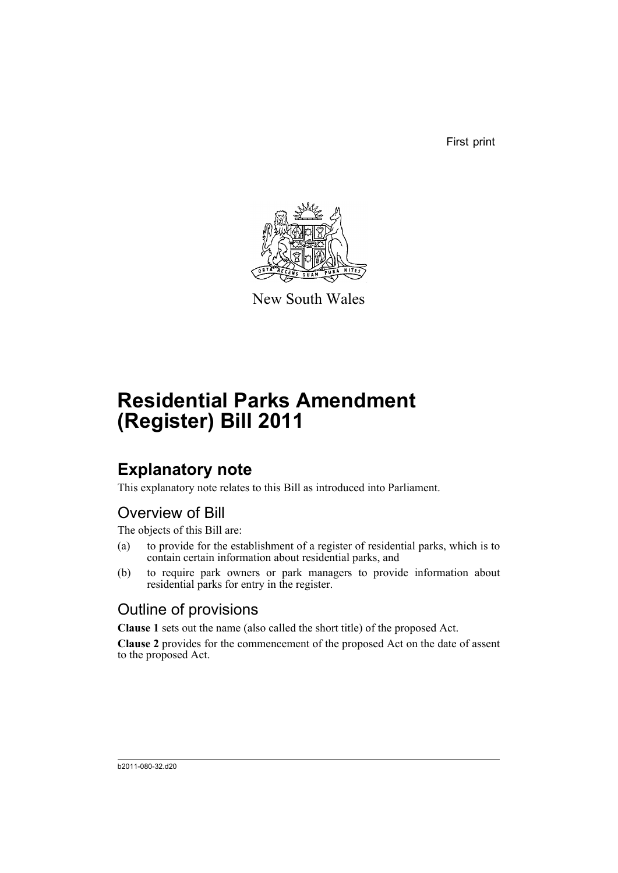First print



New South Wales

# **Residential Parks Amendment (Register) Bill 2011**

## **Explanatory note**

This explanatory note relates to this Bill as introduced into Parliament.

## Overview of Bill

The objects of this Bill are:

- (a) to provide for the establishment of a register of residential parks, which is to contain certain information about residential parks, and
- (b) to require park owners or park managers to provide information about residential parks for entry in the register.

## Outline of provisions

**Clause 1** sets out the name (also called the short title) of the proposed Act.

**Clause 2** provides for the commencement of the proposed Act on the date of assent to the proposed Act.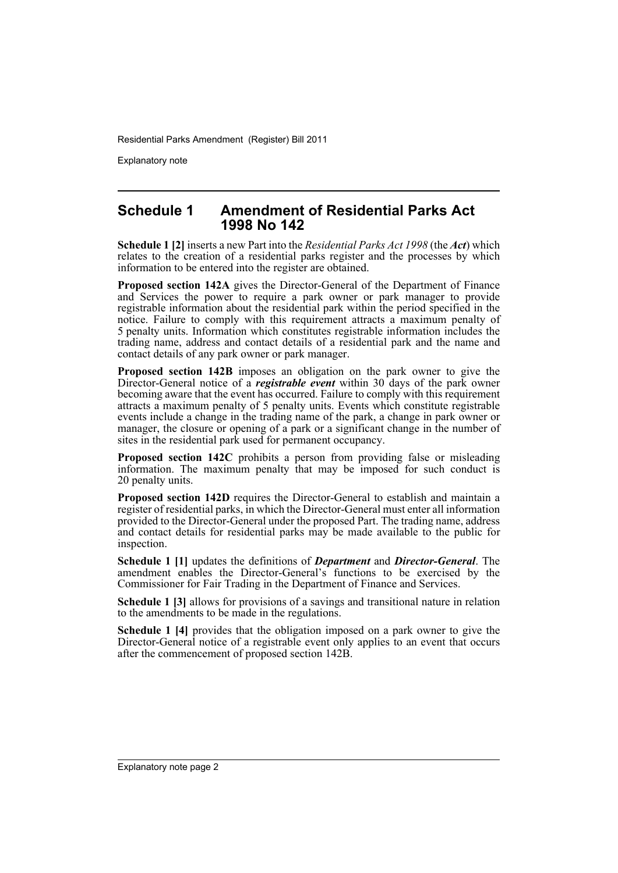Explanatory note

### **Schedule 1 Amendment of Residential Parks Act 1998 No 142**

**Schedule 1 [2]** inserts a new Part into the *Residential Parks Act 1998* (the *Act*) which relates to the creation of a residential parks register and the processes by which information to be entered into the register are obtained.

**Proposed section 142A** gives the Director-General of the Department of Finance and Services the power to require a park owner or park manager to provide registrable information about the residential park within the period specified in the notice. Failure to comply with this requirement attracts a maximum penalty of 5 penalty units. Information which constitutes registrable information includes the trading name, address and contact details of a residential park and the name and contact details of any park owner or park manager.

**Proposed section 142B** imposes an obligation on the park owner to give the Director-General notice of a *registrable event* within 30 days of the park owner becoming aware that the event has occurred. Failure to comply with this requirement attracts a maximum penalty of 5 penalty units. Events which constitute registrable events include a change in the trading name of the park, a change in park owner or manager, the closure or opening of a park or a significant change in the number of sites in the residential park used for permanent occupancy.

**Proposed section 142C** prohibits a person from providing false or misleading information. The maximum penalty that may be imposed for such conduct is 20 penalty units.

**Proposed section 142D** requires the Director-General to establish and maintain a register of residential parks, in which the Director-General must enter all information provided to the Director-General under the proposed Part. The trading name, address and contact details for residential parks may be made available to the public for inspection.

**Schedule 1 [1]** updates the definitions of *Department* and *Director-General*. The amendment enables the Director-General's functions to be exercised by the Commissioner for Fair Trading in the Department of Finance and Services.

**Schedule 1 [3]** allows for provisions of a savings and transitional nature in relation to the amendments to be made in the regulations.

**Schedule 1 [4]** provides that the obligation imposed on a park owner to give the Director-General notice of a registrable event only applies to an event that occurs after the commencement of proposed section 142B.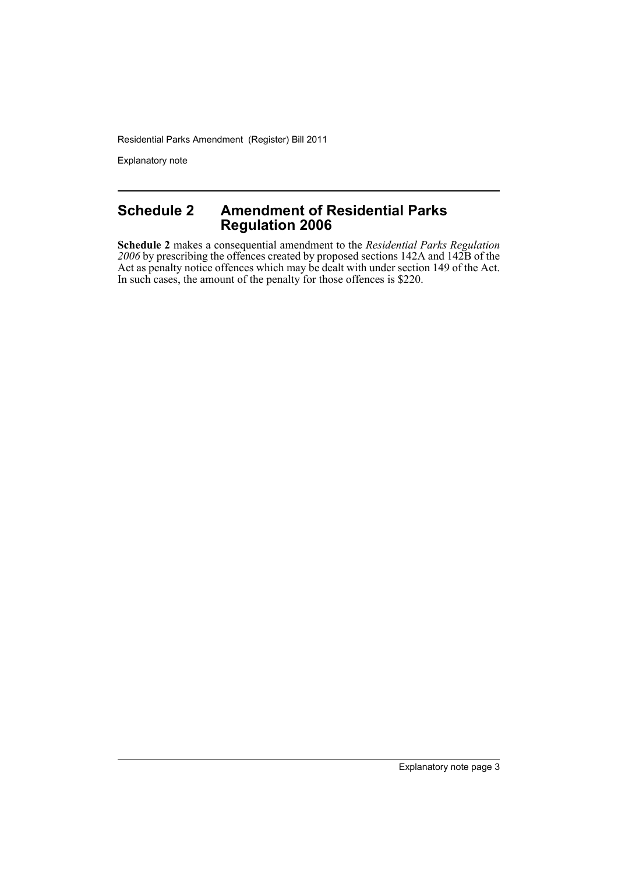Explanatory note

## **Schedule 2 Amendment of Residential Parks Regulation 2006**

**Schedule 2** makes a consequential amendment to the *Residential Parks Regulation 2006* by prescribing the offences created by proposed sections 142A and 142B of the Act as penalty notice offences which may be dealt with under section 149 of the Act. In such cases, the amount of the penalty for those offences is \$220.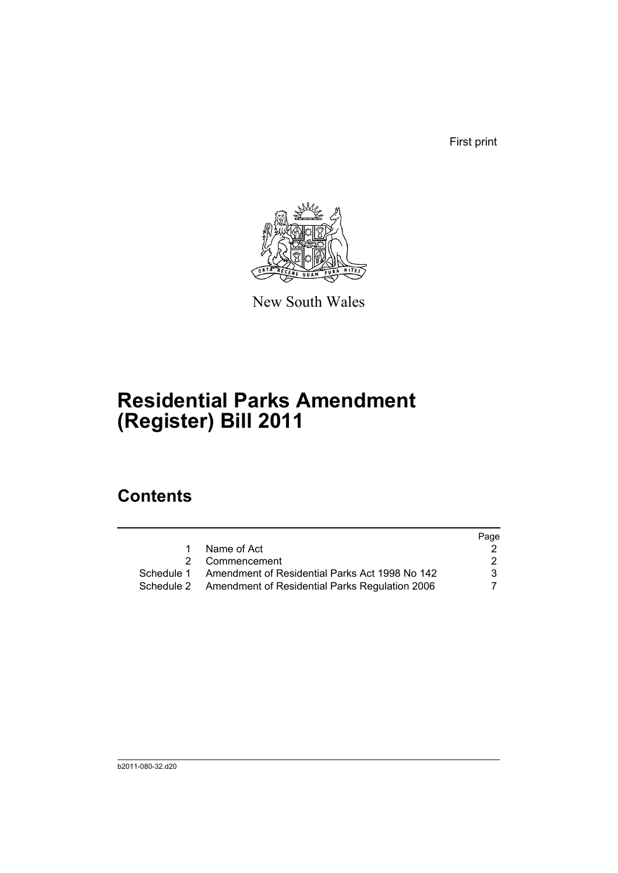First print



New South Wales

# **Residential Parks Amendment (Register) Bill 2011**

## **Contents**

|                                                           | Page |
|-----------------------------------------------------------|------|
| Name of Act                                               |      |
| 2 Commencement                                            | 2    |
| Schedule 1 Amendment of Residential Parks Act 1998 No 142 | 3    |
| Schedule 2 Amendment of Residential Parks Regulation 2006 |      |
|                                                           |      |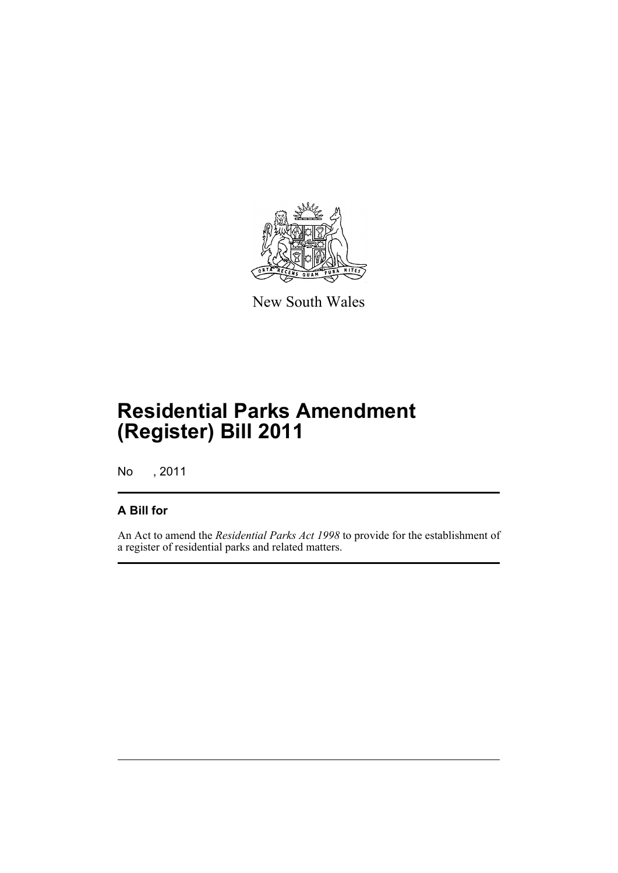

New South Wales

# **Residential Parks Amendment (Register) Bill 2011**

No , 2011

## **A Bill for**

An Act to amend the *Residential Parks Act 1998* to provide for the establishment of a register of residential parks and related matters.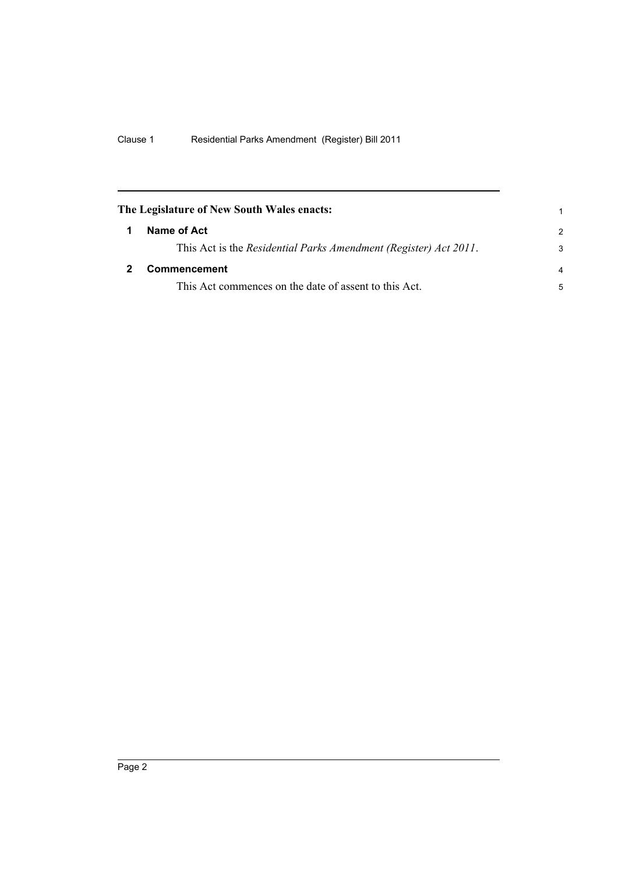<span id="page-7-1"></span><span id="page-7-0"></span>

| The Legislature of New South Wales enacts: |                                                                  |                |
|--------------------------------------------|------------------------------------------------------------------|----------------|
| 1                                          | Name of Act                                                      | $\mathcal{P}$  |
|                                            | This Act is the Residential Parks Amendment (Register) Act 2011. | 3              |
|                                            | <b>Commencement</b>                                              | $\overline{a}$ |
|                                            | This Act commences on the date of assent to this Act.            | 5              |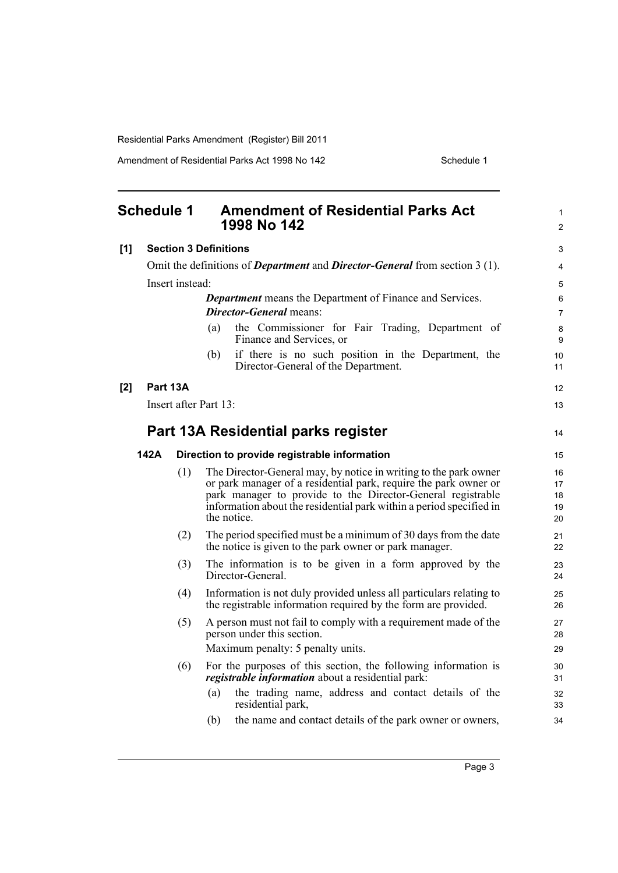Amendment of Residential Parks Act 1998 No 142 Schedule 1

<span id="page-8-0"></span>

|     | <b>Schedule 1</b>            |     | <b>Amendment of Residential Parks Act</b><br>1998 No 142                                                                                                                                                                                                                                  | 1<br>$\overline{2}$        |
|-----|------------------------------|-----|-------------------------------------------------------------------------------------------------------------------------------------------------------------------------------------------------------------------------------------------------------------------------------------------|----------------------------|
| [1] | <b>Section 3 Definitions</b> |     |                                                                                                                                                                                                                                                                                           | 3                          |
|     |                              |     | Omit the definitions of <i>Department</i> and <i>Director-General</i> from section 3 (1).                                                                                                                                                                                                 | 4                          |
|     | Insert instead:              |     |                                                                                                                                                                                                                                                                                           |                            |
|     |                              |     | <b>Department</b> means the Department of Finance and Services.<br><i>Director-General</i> means:                                                                                                                                                                                         | 6<br>$\overline{7}$        |
|     |                              |     | the Commissioner for Fair Trading, Department of<br>(a)<br>Finance and Services, or                                                                                                                                                                                                       | 8<br>9                     |
|     |                              |     | if there is no such position in the Department, the<br>(b)<br>Director-General of the Department.                                                                                                                                                                                         | 10<br>11                   |
| [2] | Part 13A                     |     |                                                                                                                                                                                                                                                                                           | 12                         |
|     |                              |     | Insert after Part 13:                                                                                                                                                                                                                                                                     | 13                         |
|     |                              |     | Part 13A Residential parks register                                                                                                                                                                                                                                                       | 14                         |
|     | 142A                         |     | Direction to provide registrable information                                                                                                                                                                                                                                              | 15                         |
|     |                              | (1) | The Director-General may, by notice in writing to the park owner<br>or park manager of a residential park, require the park owner or<br>park manager to provide to the Director-General registrable<br>information about the residential park within a period specified in<br>the notice. | 16<br>17<br>18<br>19<br>20 |
|     |                              | (2) | The period specified must be a minimum of 30 days from the date<br>the notice is given to the park owner or park manager.                                                                                                                                                                 | 21<br>22                   |
|     |                              | (3) | The information is to be given in a form approved by the<br>Director-General.                                                                                                                                                                                                             | 23<br>24                   |
|     |                              | (4) | Information is not duly provided unless all particulars relating to<br>the registrable information required by the form are provided.                                                                                                                                                     | 25<br>26                   |
|     |                              | (5) | A person must not fail to comply with a requirement made of the<br>person under this section.<br>Maximum penalty: 5 penalty units.                                                                                                                                                        | 27<br>28<br>29             |
|     |                              | (6) | For the purposes of this section, the following information is<br>registrable information about a residential park:                                                                                                                                                                       | 30<br>31                   |
|     |                              |     | the trading name, address and contact details of the<br>(a)<br>residential park,                                                                                                                                                                                                          | 32<br>33                   |
|     |                              |     | the name and contact details of the park owner or owners,<br>(b)                                                                                                                                                                                                                          | 34                         |
|     |                              |     |                                                                                                                                                                                                                                                                                           |                            |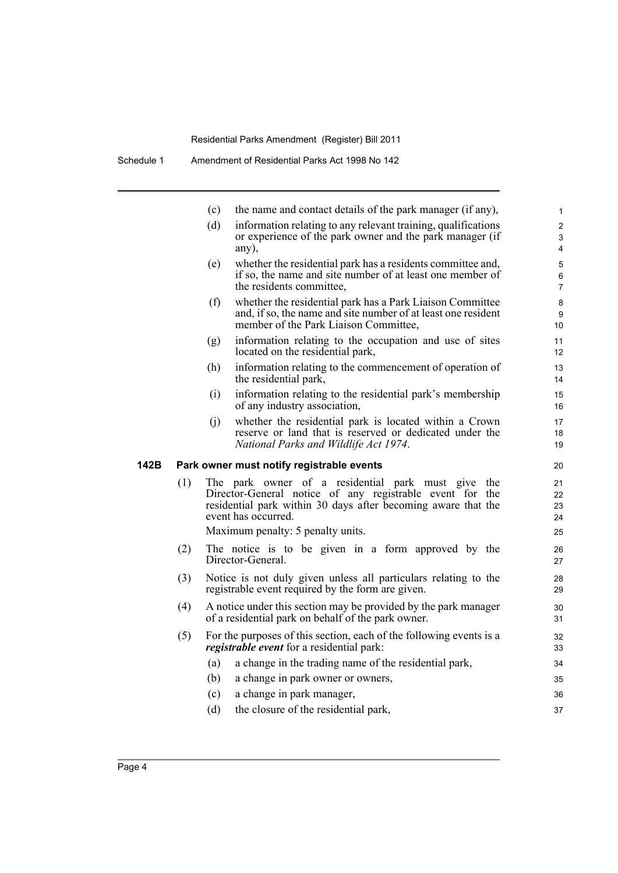|      |     | (c)                                                                                                                                                                                                    | the name and contact details of the park manager (if any),                                                                                                          | $\mathbf{1}$                   |  |  |
|------|-----|--------------------------------------------------------------------------------------------------------------------------------------------------------------------------------------------------------|---------------------------------------------------------------------------------------------------------------------------------------------------------------------|--------------------------------|--|--|
|      |     | (d)                                                                                                                                                                                                    | information relating to any relevant training, qualifications<br>or experience of the park owner and the park manager (if<br>any),                                  | 2<br>3<br>4                    |  |  |
|      |     | (e)                                                                                                                                                                                                    | whether the residential park has a residents committee and,<br>if so, the name and site number of at least one member of<br>the residents committee.                | 5<br>$\,6\,$<br>$\overline{7}$ |  |  |
|      |     | (f)                                                                                                                                                                                                    | whether the residential park has a Park Liaison Committee<br>and, if so, the name and site number of at least one resident<br>member of the Park Liaison Committee, | 8<br>9<br>10                   |  |  |
|      |     | (g)                                                                                                                                                                                                    | information relating to the occupation and use of sites<br>located on the residential park,                                                                         | 11<br>12                       |  |  |
|      |     | (h)                                                                                                                                                                                                    | information relating to the commencement of operation of<br>the residential park,                                                                                   | 13<br>14                       |  |  |
|      |     | (i)                                                                                                                                                                                                    | information relating to the residential park's membership<br>of any industry association,                                                                           | 15<br>16                       |  |  |
|      |     | (j)                                                                                                                                                                                                    | whether the residential park is located within a Crown<br>reserve or land that is reserved or dedicated under the<br>National Parks and Wildlife Act 1974.          | 17<br>18<br>19                 |  |  |
| 142B |     |                                                                                                                                                                                                        | Park owner must notify registrable events                                                                                                                           | 20                             |  |  |
|      | (1) | The park owner of a residential park must give the<br>Director-General notice of any registrable event for the<br>residential park within 30 days after becoming aware that the<br>event has occurred. |                                                                                                                                                                     |                                |  |  |
|      |     |                                                                                                                                                                                                        | Maximum penalty: 5 penalty units.                                                                                                                                   | 25                             |  |  |
|      | (2) |                                                                                                                                                                                                        | The notice is to be given in a form approved by the<br>Director-General.                                                                                            | 26<br>27                       |  |  |
|      | (3) | Notice is not duly given unless all particulars relating to the<br>registrable event required by the form are given.                                                                                   |                                                                                                                                                                     |                                |  |  |
|      | (4) | A notice under this section may be provided by the park manager<br>of a residential park on behalf of the park owner.                                                                                  |                                                                                                                                                                     |                                |  |  |
|      | (5) |                                                                                                                                                                                                        | For the purposes of this section, each of the following events is a<br>registrable event for a residential park:                                                    | 32<br>33                       |  |  |
|      |     | (a)                                                                                                                                                                                                    | a change in the trading name of the residential park,                                                                                                               | 34                             |  |  |
|      |     | (b)                                                                                                                                                                                                    | a change in park owner or owners,                                                                                                                                   | 35                             |  |  |
|      |     | (c)                                                                                                                                                                                                    | a change in park manager,                                                                                                                                           | 36                             |  |  |
|      |     | (d)                                                                                                                                                                                                    | the closure of the residential park,                                                                                                                                | 37                             |  |  |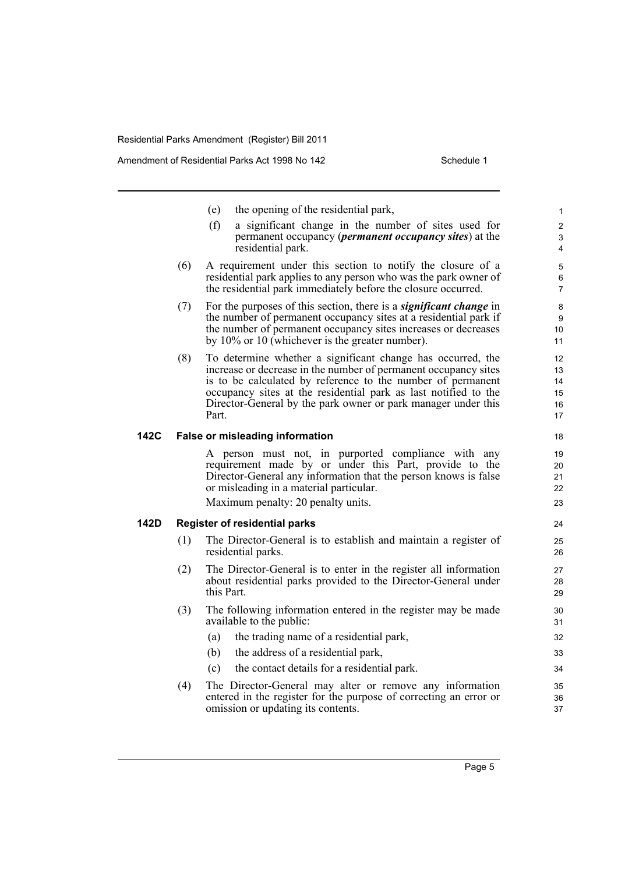- (e) the opening of the residential park,
- (f) a significant change in the number of sites used for permanent occupancy (*permanent occupancy sites*) at the residential park.
- (6) A requirement under this section to notify the closure of a residential park applies to any person who was the park owner of the residential park immediately before the closure occurred.
- (7) For the purposes of this section, there is a *significant change* in the number of permanent occupancy sites at a residential park if the number of permanent occupancy sites increases or decreases by 10% or 10 (whichever is the greater number).
- (8) To determine whether a significant change has occurred, the increase or decrease in the number of permanent occupancy sites is to be calculated by reference to the number of permanent occupancy sites at the residential park as last notified to the Director-General by the park owner or park manager under this Part.

#### **142C False or misleading information**

A person must not, in purported compliance with any requirement made by or under this Part, provide to the Director-General any information that the person knows is false or misleading in a material particular.

Maximum penalty: 20 penalty units.

#### **142D Register of residential parks**

- (1) The Director-General is to establish and maintain a register of residential parks.
- (2) The Director-General is to enter in the register all information about residential parks provided to the Director-General under this Part.
- (3) The following information entered in the register may be made available to the public:
	- (a) the trading name of a residential park,
	- (b) the address of a residential park,
	- (c) the contact details for a residential park.
- (4) The Director-General may alter or remove any information entered in the register for the purpose of correcting an error or omission or updating its contents.

Page 5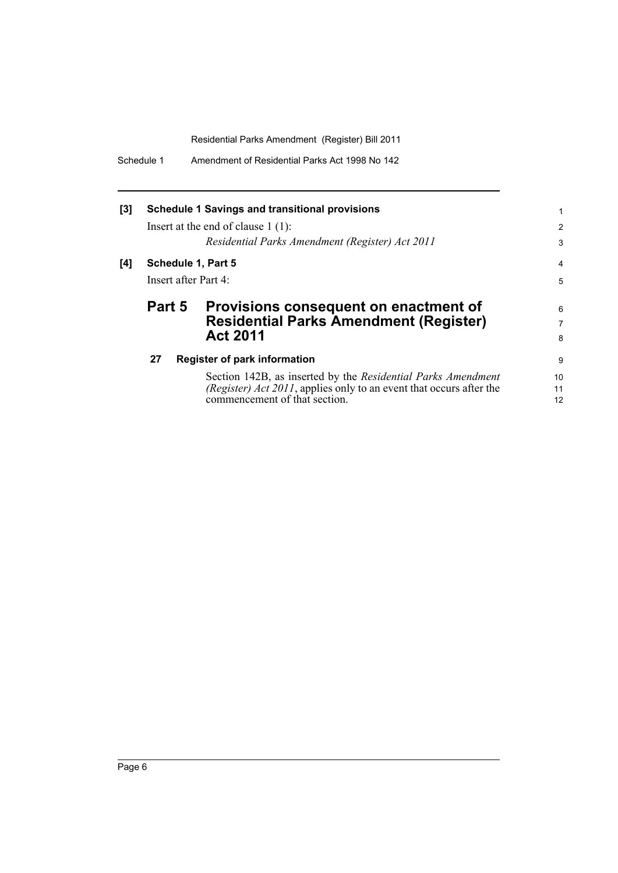| Schedule 1 | Amendment of Residential Parks Act 1998 No 142 |
|------------|------------------------------------------------|
|------------|------------------------------------------------|

| <b>Schedule 1 Savings and transitional provisions</b> |                                                                                                                                                                      |                                                                                                                                                      |  |  |
|-------------------------------------------------------|----------------------------------------------------------------------------------------------------------------------------------------------------------------------|------------------------------------------------------------------------------------------------------------------------------------------------------|--|--|
|                                                       |                                                                                                                                                                      | $\overline{2}$<br>3                                                                                                                                  |  |  |
|                                                       |                                                                                                                                                                      | $\overline{4}$                                                                                                                                       |  |  |
| Insert after Part 4:                                  |                                                                                                                                                                      |                                                                                                                                                      |  |  |
| Part 5                                                | Provisions consequent on enactment of                                                                                                                                | 6                                                                                                                                                    |  |  |
|                                                       | <b>Residential Parks Amendment (Register)</b><br><b>Act 2011</b>                                                                                                     | 7<br>8                                                                                                                                               |  |  |
| 27                                                    |                                                                                                                                                                      | 9                                                                                                                                                    |  |  |
|                                                       | Section 142B, as inserted by the Residential Parks Amendment<br>(Register) Act 2011, applies only to an event that occurs after the<br>commencement of that section. | 10<br>11<br>12                                                                                                                                       |  |  |
|                                                       |                                                                                                                                                                      | Insert at the end of clause $1(1)$ :<br>Residential Parks Amendment (Register) Act 2011<br>Schedule 1, Part 5<br><b>Register of park information</b> |  |  |